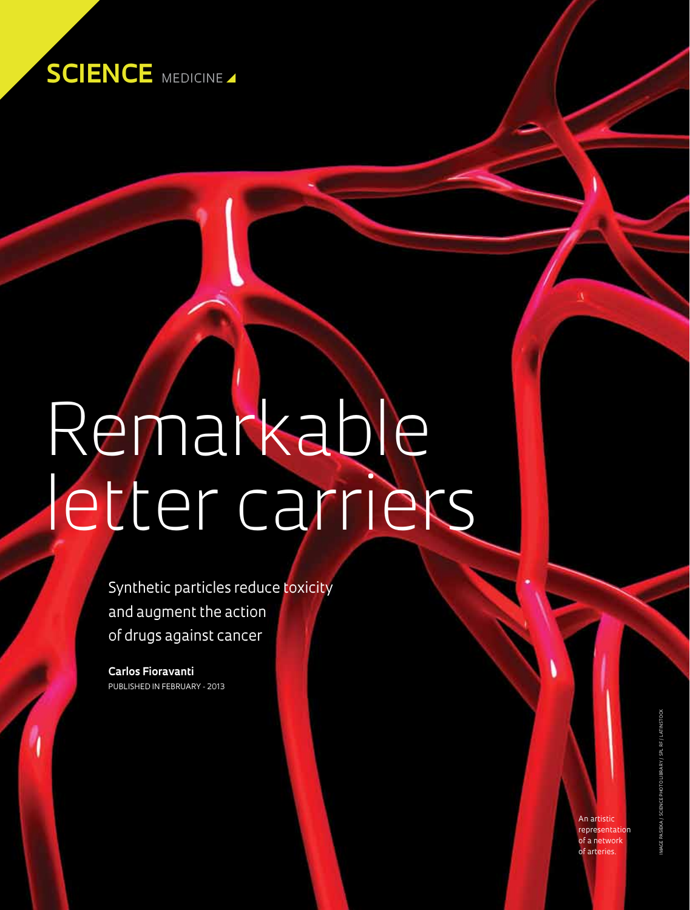

# Remarkable letter carriers

Synthetic particles reduce toxicity and augment the action of drugs against cancer

**Carlos Fioravanti** Published in February - 2013

> An artistic representation of a network of arteries.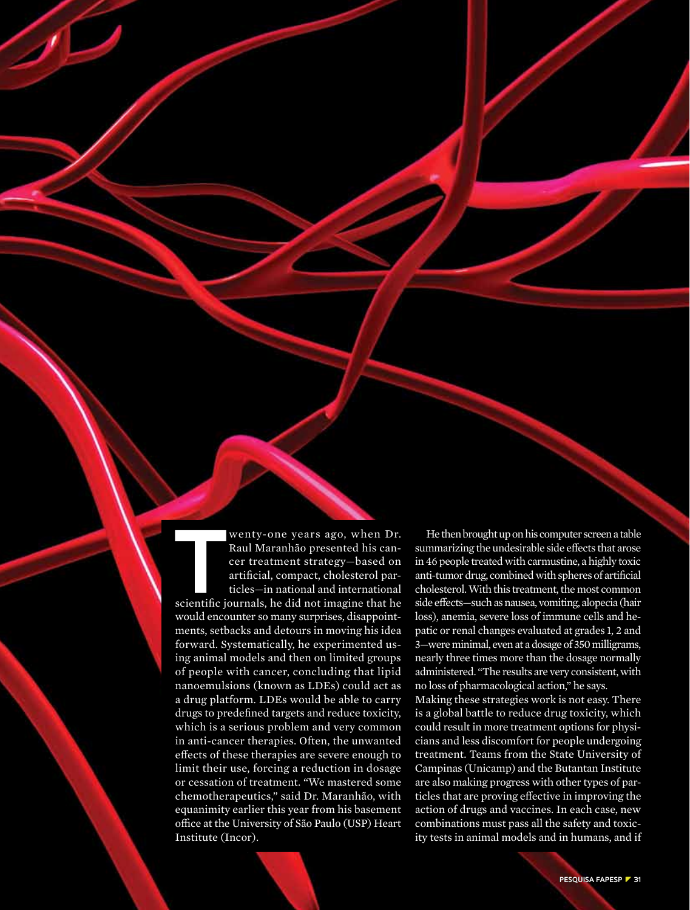**THEREN WEITERN WEILTERN WEITERN WEITERN WARTERN PRIMEDITE CONTINUES.<br>
THEREN WARTERN WARTERN WARTEN DETECTS ON THE MANUSCRYPER THE MANUSCRYPER SCIENCIJ PATTICLES—in national and international scientific iournals. he did n** Raul Maranhão presented his cancer treatment strategy—based on artificial, compact, cholesterol particles—in national and international scientific journals, he did not imagine that he would encounter so many surprises, disappointments, setbacks and detours in moving his idea forward. Systematically, he experimented using animal models and then on limited groups of people with cancer, concluding that lipid nanoemulsions (known as LDEs) could act as a drug platform. LDEs would be able to carry drugs to predefined targets and reduce toxicity, which is a serious problem and very common in anti-cancer therapies. Often, the unwanted effects of these therapies are severe enough to limit their use, forcing a reduction in dosage or cessation of treatment. "We mastered some chemotherapeutics," said Dr. Maranhão, with equanimity earlier this year from his basement office at the University of São Paulo (USP) Heart Institute (Incor).

He then brought up on his computer screen a table summarizing the undesirable side effects that arose in 46 people treated with carmustine, a highly toxic anti-tumor drug, combined with spheres of artificial cholesterol. With this treatment, the most common side effects—such as nausea, vomiting, alopecia (hair loss), anemia, severe loss of immune cells and hepatic or renal changes evaluated at grades 1, 2 and 3—were minimal, even at a dosage of 350 milligrams, nearly three times more than the dosage normally administered. "The results are very consistent, with no loss of pharmacological action," he says.

Making these strategies work is not easy. There is a global battle to reduce drug toxicity, which could result in more treatment options for physicians and less discomfort for people undergoing treatment. Teams from the State University of Campinas (Unicamp) and the Butantan Institute are also making progress with other types of particles that are proving effective in improving the action of drugs and vaccines. In each case, new combinations must pass all the safety and toxicity tests in animal models and in humans, and if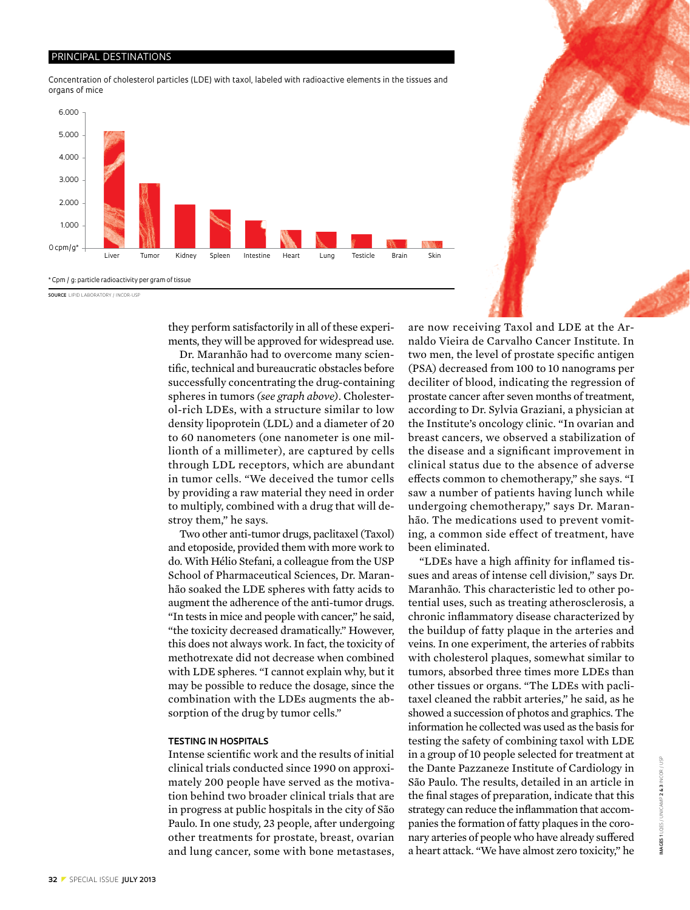#### PRINCIPAL DESTINATIONS

Concentration of cholesterol particles (LDE) with taxol, labeled with radioactive elements in the tissues and organs of mice



they perform satisfactorily in all of these experiments, they will be approved for widespread use.

Dr. Maranhão had to overcome many scientific, technical and bureaucratic obstacles before successfully concentrating the drug-containing spheres in tumors *(see graph above)*. Cholesterol-rich LDEs, with a structure similar to low density lipoprotein (LDL) and a diameter of 20 to 60 nanometers (one nanometer is one millionth of a millimeter), are captured by cells through LDL receptors, which are abundant in tumor cells. "We deceived the tumor cells by providing a raw material they need in order to multiply, combined with a drug that will destroy them," he says.

Two other anti-tumor drugs, paclitaxel (Taxol) and etoposide, provided them with more work to do. With Hélio Stefani, a colleague from the USP School of Pharmaceutical Sciences, Dr. Maranhão soaked the LDE spheres with fatty acids to augment the adherence of the anti-tumor drugs. "In tests in mice and people with cancer," he said, "the toxicity decreased dramatically." However, this does not always work. In fact, the toxicity of methotrexate did not decrease when combined with LDE spheres. "I cannot explain why, but it may be possible to reduce the dosage, since the combination with the LDEs augments the absorption of the drug by tumor cells."

#### **Testing in hospitals**

Intense scientific work and the results of initial clinical trials conducted since 1990 on approximately 200 people have served as the motivation behind two broader clinical trials that are in progress at public hospitals in the city of São Paulo. In one study, 23 people, after undergoing other treatments for prostate, breast, ovarian and lung cancer, some with bone metastases, are now receiving Taxol and LDE at the Arnaldo Vieira de Carvalho Cancer Institute. In two men, the level of prostate specific antigen (PSA) decreased from 100 to 10 nanograms per deciliter of blood, indicating the regression of prostate cancer after seven months of treatment, according to Dr. Sylvia Graziani, a physician at the Institute's oncology clinic. "In ovarian and breast cancers, we observed a stabilization of the disease and a significant improvement in clinical status due to the absence of adverse effects common to chemotherapy," she says. "I saw a number of patients having lunch while undergoing chemotherapy," says Dr. Maranhão. The medications used to prevent vomiting, a common side effect of treatment, have been eliminated.

"LDEs have a high affinity for inflamed tissues and areas of intense cell division," says Dr. Maranhão. This characteristic led to other potential uses, such as treating atherosclerosis, a chronic inflammatory disease characterized by the buildup of fatty plaque in the arteries and veins. In one experiment, the arteries of rabbits with cholesterol plaques, somewhat similar to tumors, absorbed three times more LDEs than other tissues or organs. "The LDEs with paclitaxel cleaned the rabbit arteries," he said, as he showed a succession of photos and graphics. The information he collected was used as the basis for testing the safety of combining taxol with LDE in a group of 10 people selected for treatment at the Dante Pazzaneze Institute of Cardiology in São Paulo. The results, detailed in an article in the final stages of preparation, indicate that this strategy can reduce the inflammation that accompanies the formation of fatty plaques in the coronary arteries of people who have already suffered a heart attack. "We have almost zero toxicity," he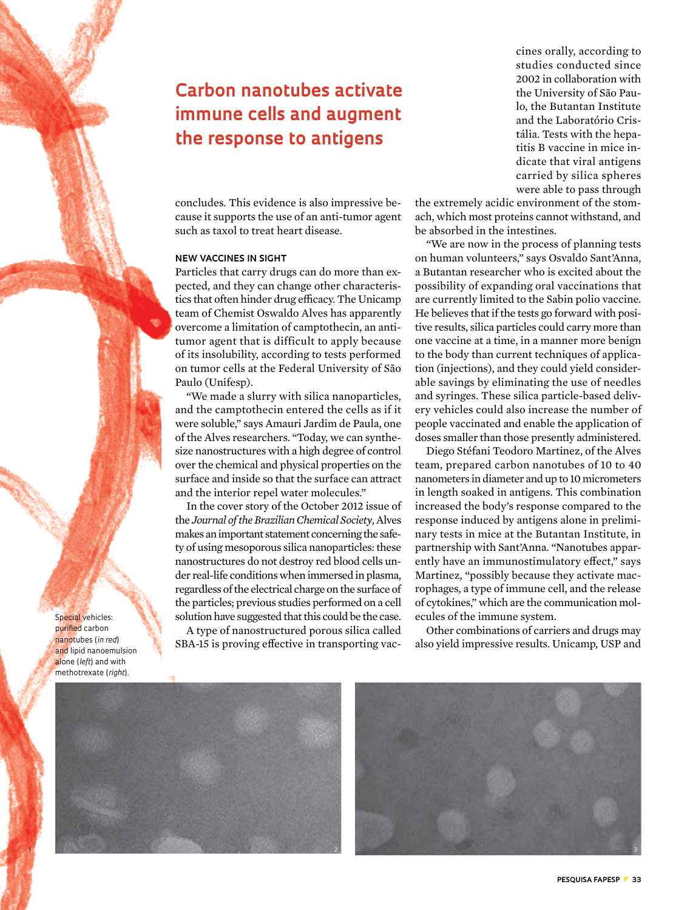# **Carbon nanotubes activate immune cells and augment the response to antigens**

concludes. This evidence is also impressive because it supports the use of an anti-tumor agent such as taxol to treat heart disease.

## **New vaccines in sight**

Particles that carry drugs can do more than expected, and they can change other characteristics that often hinder drug efficacy. The Unicamp team of Chemist Oswaldo Alves has apparently overcome a limitation of camptothecin, an antitumor agent that is difficult to apply because of its insolubility, according to tests performed on tumor cells at the Federal University of São Paulo (Unifesp).

"We made a slurry with silica nanoparticles, and the camptothecin entered the cells as if it were soluble," says Amauri Jardim de Paula, one of the Alves researchers. "Today, we can synthesize nanostructures with a high degree of control over the chemical and physical properties on the surface and inside so that the surface can attract and the interior repel water molecules."

In the cover story of the October 2012 issue of the *Journal of the Brazilian Chemical Society*, Alves makes an important statement concerning the safety of using mesoporous silica nanoparticles: these nanostructures do not destroy red blood cells under real-life conditions when immersed in plasma, regardless of the electrical charge on the surface of the particles; previous studies performed on a cell solution have suggested that this could be the case. A type of nanostructured porous silica called

SBA-15 is proving effective in transporting vac-

cines orally, according to studies conducted since 2002 in collaboration with the University of São Paulo, the Butantan Institute and the Laboratório Cristália. Tests with the hepatitis B vaccine in mice indicate that viral antigens carried by silica spheres were able to pass through

the extremely acidic environment of the stomach, which most proteins cannot withstand, and be absorbed in the intestines.

"We are now in the process of planning tests on human volunteers," says Osvaldo Sant'Anna, a Butantan researcher who is excited about the possibility of expanding oral vaccinations that are currently limited to the Sabin polio vaccine. He believes that if the tests go forward with positive results, silica particles could carry more than one vaccine at a time, in a manner more benign to the body than current techniques of application (injections), and they could yield considerable savings by eliminating the use of needles and syringes. These silica particle-based delivery vehicles could also increase the number of people vaccinated and enable the application of doses smaller than those presently administered.

Diego Stéfani Teodoro Martinez, of the Alves team, prepared carbon nanotubes of 10 to 40 nanometers in diameter and up to 10 micrometers in length soaked in antigens. This combination increased the body's response compared to the response induced by antigens alone in preliminary tests in mice at the Butantan Institute, in partnership with Sant'Anna. "Nanotubes apparently have an immunostimulatory effect," says Martinez, "possibly because they activate macrophages, a type of immune cell, and the release of cytokines," which are the communication molecules of the immune system.

Other combinations of carriers and drugs may also yield impressive results. Unicamp, USP and



Special vehicles: purified carbon nanotubes (*in red*) and lipid nanoemulsion alone (*left*) and with methotrexate (*right*).

1

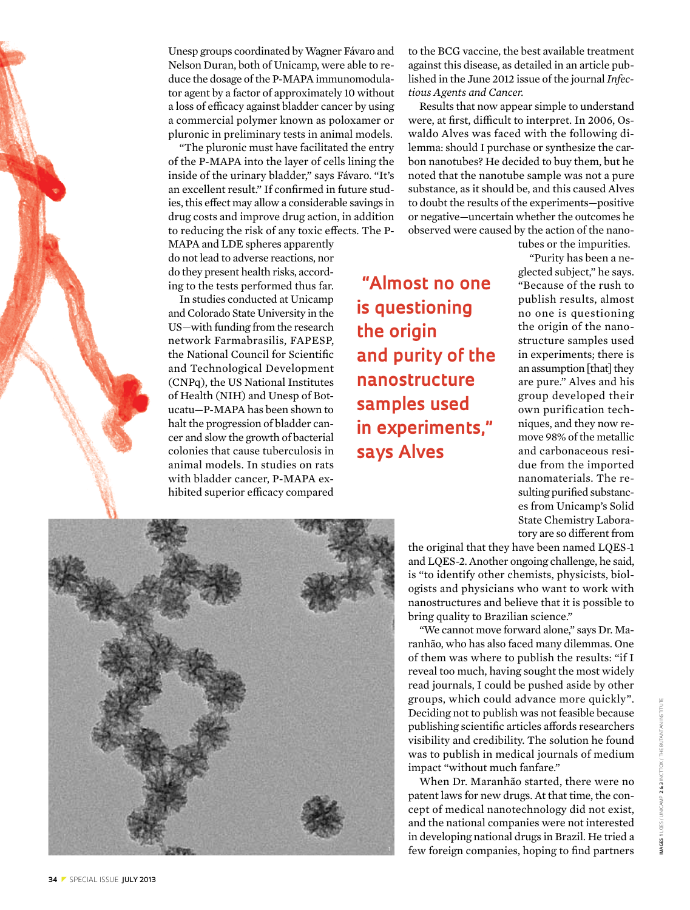

"The pluronic must have facilitated the entry of the P-MAPA into the layer of cells lining the inside of the urinary bladder," says Fávaro. "It's an excellent result." If confirmed in future studies, this effect may allow a considerable savings in drug costs and improve drug action, in addition to reducing the risk of any toxic effects. The P-

MAPA and LDE spheres apparently do not lead to adverse reactions, nor do they present health risks, according to the tests performed thus far.

In studies conducted at Unicamp and Colorado State University in the US—with funding from the research network Farmabrasilis, FAPESP, the National Council for Scientific and Technological Development (CNPq), the US National Institutes of Health (NIH) and Unesp of Botucatu—P-MAPA has been shown to halt the progression of bladder cancer and slow the growth of bacterial colonies that cause tuberculosis in animal models. In studies on rats with bladder cancer, P-MAPA exhibited superior efficacy compared

 **"Almost no one is questioning the origin and purity of the nanostructure samples used in experiments," says Alves**

to the BCG vaccine, the best available treatment against this disease, as detailed in an article published in the June 2012 issue of the journal *Infectious Agents and Cancer.*

Results that now appear simple to understand were, at first, difficult to interpret. In 2006, Oswaldo Alves was faced with the following dilemma: should I purchase or synthesize the carbon nanotubes? He decided to buy them, but he noted that the nanotube sample was not a pure substance, as it should be, and this caused Alves to doubt the results of the experiments—positive or negative—uncertain whether the outcomes he observed were caused by the action of the nano-

> tubes or the impurities. "Purity has been a neglected subject," he says. "Because of the rush to publish results, almost no one is questioning the origin of the nanostructure samples used in experiments; there is an assumption [that] they are pure." Alves and his group developed their own purification techniques, and they now remove 98% of the metallic and carbonaceous residue from the imported nanomaterials. The resulting purified substances from Unicamp's Solid State Chemistry Laboratory are so different from



the original that they have been named LQES-1 and LQES-2. Another ongoing challenge, he said, is "to identify other chemists, physicists, biologists and physicians who want to work with nanostructures and believe that it is possible to bring quality to Brazilian science."

"We cannot move forward alone," says Dr. Maranhão, who has also faced many dilemmas. One of them was where to publish the results: "if I reveal too much, having sought the most widely read journals, I could be pushed aside by other groups, which could advance more quickly". Deciding not to publish was not feasible because publishing scientific articles affords researchers visibility and credibility. The solution he found was to publish in medical journals of medium impact "without much fanfare."

When Dr. Maranhão started, there were no patent laws for new drugs. At that time, the concept of medical nanotechnology did not exist, and the national companies were not interested in developing national drugs in Brazil. He tried a few foreign companies, hoping to find partners